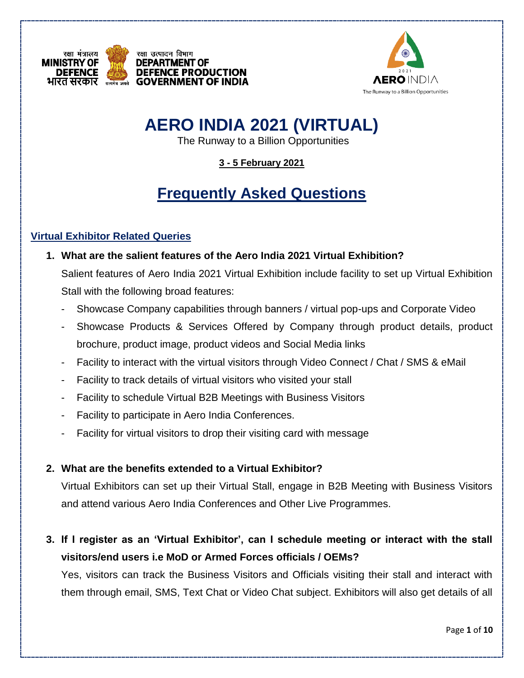



# **AERO INDIA 2021 (VIRTUAL)**

The Runway to a Billion Opportunities

**3 - 5 February 2021**

# **Frequently Asked Questions**

### **Virtual Exhibitor Related Queries**

- **1. What are the salient features of the Aero India 2021 Virtual Exhibition?** Salient features of Aero India 2021 Virtual Exhibition include facility to set up Virtual Exhibition Stall with the following broad features:
	- Showcase Company capabilities through banners / virtual pop-ups and Corporate Video
	- Showcase Products & Services Offered by Company through product details, product brochure, product image, product videos and Social Media links
	- Facility to interact with the virtual visitors through Video Connect / Chat / SMS & eMail
	- Facility to track details of virtual visitors who visited your stall
	- Facility to schedule Virtual B2B Meetings with Business Visitors
	- Facility to participate in Aero India Conferences.
	- Facility for virtual visitors to drop their visiting card with message

### **2. What are the benefits extended to a Virtual Exhibitor?**

Virtual Exhibitors can set up their Virtual Stall, engage in B2B Meeting with Business Visitors and attend various Aero India Conferences and Other Live Programmes.

# **3. If I register as an 'Virtual Exhibitor', can I schedule meeting or interact with the stall visitors/end users i.e MoD or Armed Forces officials / OEMs?**

Yes, visitors can track the Business Visitors and Officials visiting their stall and interact with them through email, SMS, Text Chat or Video Chat subject. Exhibitors will also get details of all

Page **1** of **10**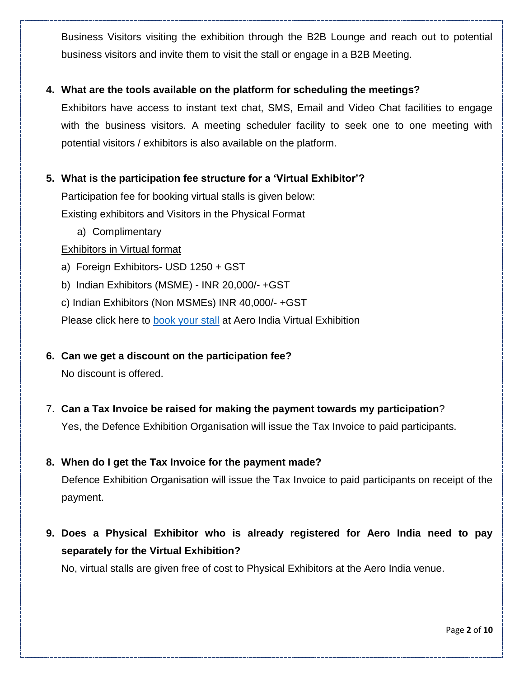Business Visitors visiting the exhibition through the B2B Lounge and reach out to potential business visitors and invite them to visit the stall or engage in a B2B Meeting.

### **4. What are the tools available on the platform for scheduling the meetings?**

Exhibitors have access to instant text chat, SMS, Email and Video Chat facilities to engage with the business visitors. A meeting scheduler facility to seek one to one meeting with potential visitors / exhibitors is also available on the platform.

### **5. What is the participation fee structure for a 'Virtual Exhibitor'?**

Participation fee for booking virtual stalls is given below:

Existing exhibitors and Visitors in the Physical Format

a) Complimentary

### Exhibitors in Virtual format

- a) Foreign Exhibitors- USD 1250 + GST
- b) Indian Exhibitors (MSME) INR 20,000/- +GST
- c) Indian Exhibitors (Non MSMEs) INR 40,000/- +GST

Please click here to [book your stall](https://aeroindiavirtual.in/CommonExternalPage.aspx?EventId=AEROINDIA) at Aero India Virtual Exhibition

- **6. Can we get a discount on the participation fee?** No discount is offered.
- 7. **Can a Tax Invoice be raised for making the payment towards my participation**? Yes, the Defence Exhibition Organisation will issue the Tax Invoice to paid participants.

### **8. When do I get the Tax Invoice for the payment made?**

Defence Exhibition Organisation will issue the Tax Invoice to paid participants on receipt of the payment.

**9. Does a Physical Exhibitor who is already registered for Aero India need to pay separately for the Virtual Exhibition?**

No, virtual stalls are given free of cost to Physical Exhibitors at the Aero India venue.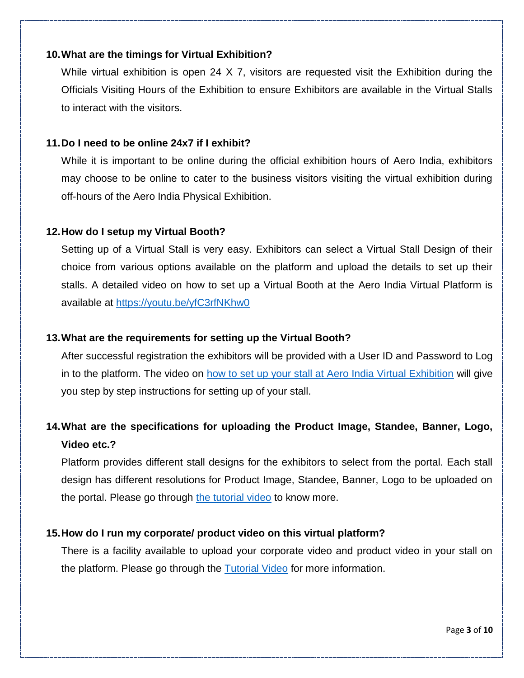#### **10.What are the timings for Virtual Exhibition?**

While virtual exhibition is open 24 X 7, visitors are requested visit the Exhibition during the Officials Visiting Hours of the Exhibition to ensure Exhibitors are available in the Virtual Stalls to interact with the visitors.

#### **11.Do I need to be online 24x7 if I exhibit?**

While it is important to be online during the official exhibition hours of Aero India, exhibitors may choose to be online to cater to the business visitors visiting the virtual exhibition during off-hours of the Aero India Physical Exhibition.

#### **12.How do I setup my Virtual Booth?**

Setting up of a Virtual Stall is very easy. Exhibitors can select a Virtual Stall Design of their choice from various options available on the platform and upload the details to set up their stalls. A detailed video on how to set up a Virtual Booth at the Aero India Virtual Platform is available at<https://youtu.be/yfC3rfNKhw0>

#### **13.What are the requirements for setting up the Virtual Booth?**

After successful registration the exhibitors will be provided with a User ID and Password to Log in to the platform. The video on [how to set up your stall at Aero India Virtual Exhibition](https://youtu.be/yfC3rfNKhw0) will give you step by step instructions for setting up of your stall.

# **14.What are the specifications for uploading the Product Image, Standee, Banner, Logo, Video etc.?**

Platform provides different stall designs for the exhibitors to select from the portal. Each stall design has different resolutions for Product Image, Standee, Banner, Logo to be uploaded on the portal. Please go through [the tutorial video](https://youtu.be/yfC3rfNKhw0) to know more.

### **15.How do I run my corporate/ product video on this virtual platform?**

There is a facility available to upload your corporate video and product video in your stall on the platform. Please go through the **Tutorial Video** for more information.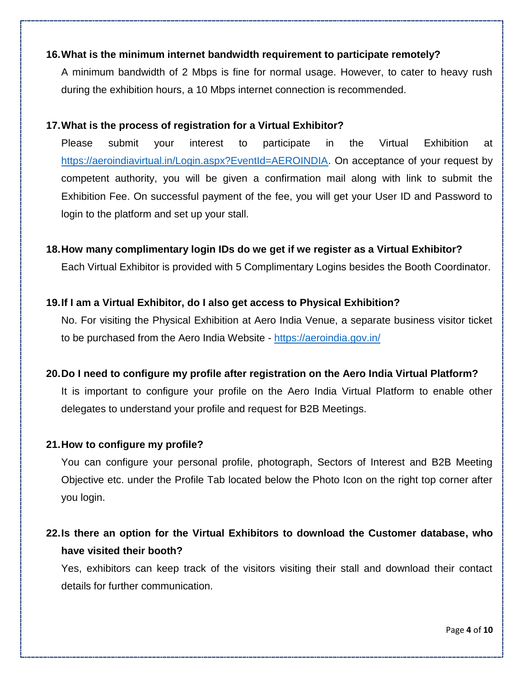### **16.What is the minimum internet bandwidth requirement to participate remotely?**

A minimum bandwidth of 2 Mbps is fine for normal usage. However, to cater to heavy rush during the exhibition hours, a 10 Mbps internet connection is recommended.

### **17.What is the process of registration for a Virtual Exhibitor?**

Please submit your interest to participate in the Virtual Exhibition at [https://aeroindiavirtual.in/Login.aspx?EventId=AEROINDIA.](https://aeroindiavirtual.in/Login.aspx?EventId=AEROINDIA) On acceptance of your request by competent authority, you will be given a confirmation mail along with link to submit the Exhibition Fee. On successful payment of the fee, you will get your User ID and Password to login to the platform and set up your stall.

### **18.How many complimentary login IDs do we get if we register as a Virtual Exhibitor?**

Each Virtual Exhibitor is provided with 5 Complimentary Logins besides the Booth Coordinator.

### **19.If I am a Virtual Exhibitor, do I also get access to Physical Exhibition?**

No. For visiting the Physical Exhibition at Aero India Venue, a separate business visitor ticket to be purchased from the Aero India Website - <https://aeroindia.gov.in/>

### **20.Do I need to configure my profile after registration on the Aero India Virtual Platform?**

It is important to configure your profile on the Aero India Virtual Platform to enable other delegates to understand your profile and request for B2B Meetings.

### **21.How to configure my profile?**

You can configure your personal profile, photograph, Sectors of Interest and B2B Meeting Objective etc. under the Profile Tab located below the Photo Icon on the right top corner after you login.

# **22.Is there an option for the Virtual Exhibitors to download the Customer database, who have visited their booth?**

Yes, exhibitors can keep track of the visitors visiting their stall and download their contact details for further communication.

Page **4** of **10**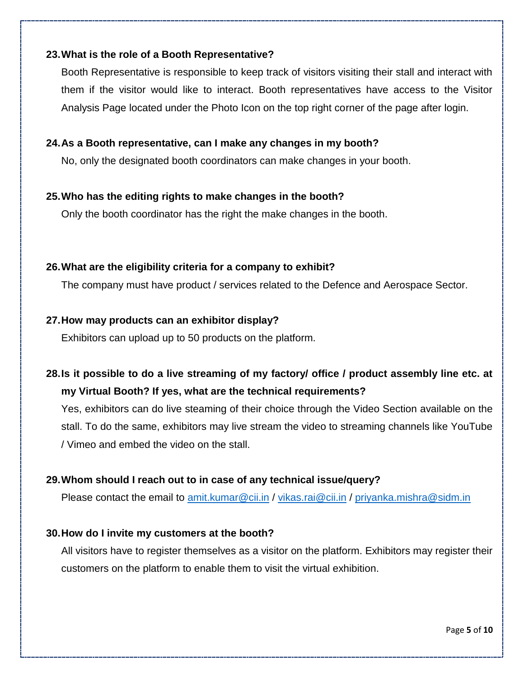### **23.What is the role of a Booth Representative?**

Booth Representative is responsible to keep track of visitors visiting their stall and interact with them if the visitor would like to interact. Booth representatives have access to the Visitor Analysis Page located under the Photo Icon on the top right corner of the page after login.

### **24.As a Booth representative, can I make any changes in my booth?**

No, only the designated booth coordinators can make changes in your booth.

### **25.Who has the editing rights to make changes in the booth?**

Only the booth coordinator has the right the make changes in the booth.

### **26.What are the eligibility criteria for a company to exhibit?**

The company must have product / services related to the Defence and Aerospace Sector.

### **27.How may products can an exhibitor display?**

Exhibitors can upload up to 50 products on the platform.

# **28.Is it possible to do a live streaming of my factory/ office / product assembly line etc. at my Virtual Booth? If yes, what are the technical requirements?**

Yes, exhibitors can do live steaming of their choice through the Video Section available on the stall. To do the same, exhibitors may live stream the video to streaming channels like YouTube / Vimeo and embed the video on the stall.

### **29.Whom should I reach out to in case of any technical issue/query?**

Please contact the email to [amit.kumar@cii.in](mailto:amit.kumar@cii.in) / [vikas.rai@cii.in](mailto:vikas.rai@cii.in) / [priyanka.mishra@sidm.in](mailto:priyanka.mishra@sidm.in)

### **30.How do I invite my customers at the booth?**

All visitors have to register themselves as a visitor on the platform. Exhibitors may register their customers on the platform to enable them to visit the virtual exhibition.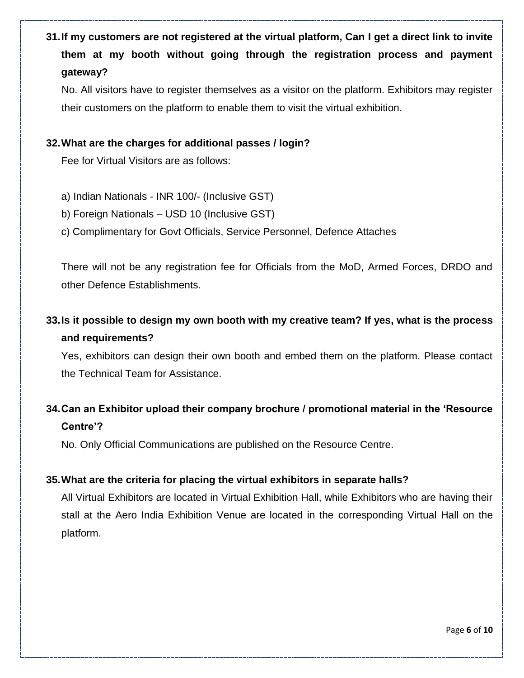**31.If my customers are not registered at the virtual platform, Can I get a direct link to invite them at my booth without going through the registration process and payment gateway?**

No. All visitors have to register themselves as a visitor on the platform. Exhibitors may register their customers on the platform to enable them to visit the virtual exhibition.

### **32.What are the charges for additional passes / login?**

Fee for Virtual Visitors are as follows:

- a) Indian Nationals INR 100/- (Inclusive GST)
- b) Foreign Nationals USD 10 (Inclusive GST)
- c) Complimentary for Govt Officials, Service Personnel, Defence Attaches

There will not be any registration fee for Officials from the MoD, Armed Forces, DRDO and other Defence Establishments.

# **33.Is it possible to design my own booth with my creative team? If yes, what is the process and requirements?**

Yes, exhibitors can design their own booth and embed them on the platform. Please contact the Technical Team for Assistance.

# **34.Can an Exhibitor upload their company brochure / promotional material in the 'Resource Centre'?**

No. Only Official Communications are published on the Resource Centre.

### **35.What are the criteria for placing the virtual exhibitors in separate halls?**

All Virtual Exhibitors are located in Virtual Exhibition Hall, while Exhibitors who are having their stall at the Aero India Exhibition Venue are located in the corresponding Virtual Hall on the platform.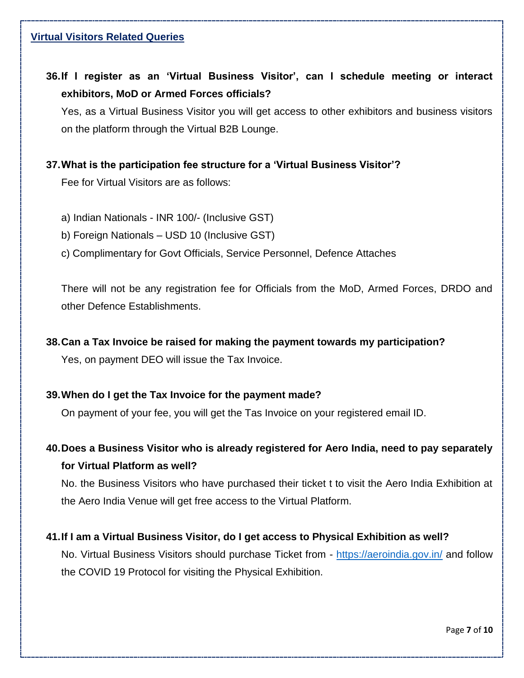### **Virtual Visitors Related Queries**

**36.If I register as an 'Virtual Business Visitor', can I schedule meeting or interact exhibitors, MoD or Armed Forces officials?**

Yes, as a Virtual Business Visitor you will get access to other exhibitors and business visitors on the platform through the Virtual B2B Lounge.

### **37.What is the participation fee structure for a 'Virtual Business Visitor'?**

Fee for Virtual Visitors are as follows:

- a) Indian Nationals INR 100/- (Inclusive GST)
- b) Foreign Nationals USD 10 (Inclusive GST)
- c) Complimentary for Govt Officials, Service Personnel, Defence Attaches

There will not be any registration fee for Officials from the MoD, Armed Forces, DRDO and other Defence Establishments.

### **38.Can a Tax Invoice be raised for making the payment towards my participation?**

Yes, on payment DEO will issue the Tax Invoice.

### **39.When do I get the Tax Invoice for the payment made?**

On payment of your fee, you will get the Tas Invoice on your registered email ID.

**40.Does a Business Visitor who is already registered for Aero India, need to pay separately for Virtual Platform as well?**

No. the Business Visitors who have purchased their ticket t to visit the Aero India Exhibition at the Aero India Venue will get free access to the Virtual Platform.

### **41.If I am a Virtual Business Visitor, do I get access to Physical Exhibition as well?**

No. Virtual Business Visitors should purchase Ticket from - <https://aeroindia.gov.in/> and follow the COVID 19 Protocol for visiting the Physical Exhibition.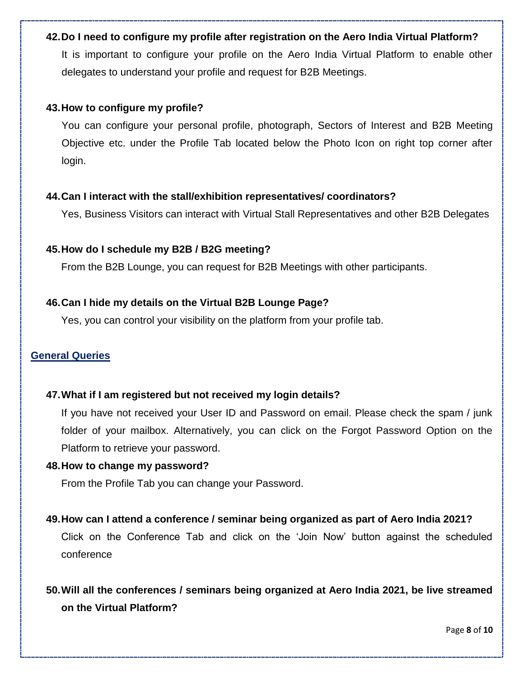#### **42.Do I need to configure my profile after registration on the Aero India Virtual Platform?**

It is important to configure your profile on the Aero India Virtual Platform to enable other delegates to understand your profile and request for B2B Meetings.

#### **43.How to configure my profile?**

You can configure your personal profile, photograph, Sectors of Interest and B2B Meeting Objective etc. under the Profile Tab located below the Photo Icon on right top corner after login.

#### **44.Can I interact with the stall/exhibition representatives/ coordinators?**

Yes, Business Visitors can interact with Virtual Stall Representatives and other B2B Delegates

#### **45.How do I schedule my B2B / B2G meeting?**

From the B2B Lounge, you can request for B2B Meetings with other participants.

#### **46.Can I hide my details on the Virtual B2B Lounge Page?**

Yes, you can control your visibility on the platform from your profile tab.

#### **General Queries**

### **47.What if I am registered but not received my login details?**

If you have not received your User ID and Password on email. Please check the spam / junk folder of your mailbox. Alternatively, you can click on the Forgot Password Option on the Platform to retrieve your password.

#### **48.How to change my password?**

From the Profile Tab you can change your Password.

### **49.How can I attend a conference / seminar being organized as part of Aero India 2021?**

Click on the Conference Tab and click on the 'Join Now' button against the scheduled conference

# **50.Will all the conferences / seminars being organized at Aero India 2021, be live streamed on the Virtual Platform?**

Page **8** of **10**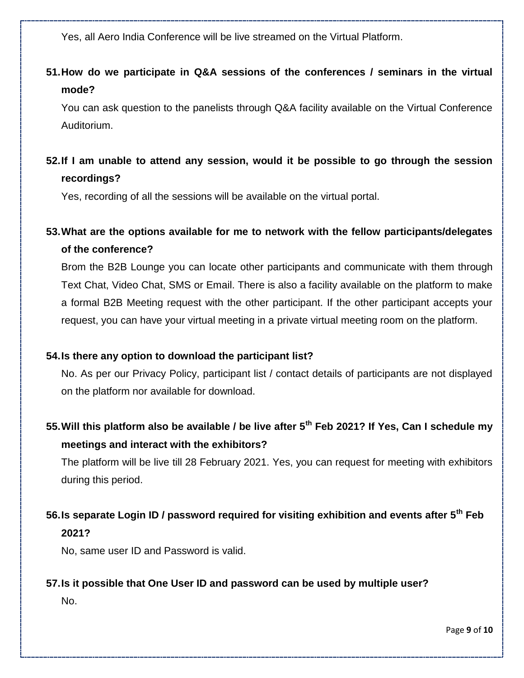Yes, all Aero India Conference will be live streamed on the Virtual Platform.

# **51.How do we participate in Q&A sessions of the conferences / seminars in the virtual mode?**

You can ask question to the panelists through Q&A facility available on the Virtual Conference Auditorium.

### **52.If I am unable to attend any session, would it be possible to go through the session recordings?**

Yes, recording of all the sessions will be available on the virtual portal.

# **53.What are the options available for me to network with the fellow participants/delegates of the conference?**

Brom the B2B Lounge you can locate other participants and communicate with them through Text Chat, Video Chat, SMS or Email. There is also a facility available on the platform to make a formal B2B Meeting request with the other participant. If the other participant accepts your request, you can have your virtual meeting in a private virtual meeting room on the platform.

### **54.Is there any option to download the participant list?**

No. As per our Privacy Policy, participant list / contact details of participants are not displayed on the platform nor available for download.

# **55.Will this platform also be available / be live after 5th Feb 2021? If Yes, Can I schedule my meetings and interact with the exhibitors?**

The platform will be live till 28 February 2021. Yes, you can request for meeting with exhibitors during this period.

# **56.Is separate Login ID / password required for visiting exhibition and events after 5th Feb 2021?**

No, same user ID and Password is valid.

### **57.Is it possible that One User ID and password can be used by multiple user?**

No.